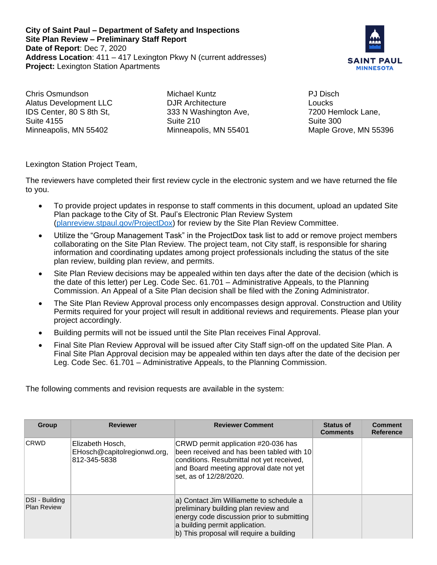**City of Saint Paul – Department of Safety and Inspections Site Plan Review – Preliminary Staff Report Date of Report**: Dec 7, 2020 **Address Location**: 411 – 417 Lexington Pkwy N (current addresses) **Project:** Lexington Station Apartments



Chris Osmundson Alatus Development LLC IDS Center, 80 S 8th St, Suite 4155 Minneapolis, MN 55402

Michael Kuntz DJR Architecture 333 N Washington Ave, Suite 210 Minneapolis, MN 55401

PJ Disch Loucks 7200 Hemlock Lane, Suite 300 Maple Grove, MN 55396

Lexington Station Project Team,

The reviewers have completed their first review cycle in the electronic system and we have returned the file to you.

- To provide project updates in response to staff comments in this document, upload an updated Site Plan package to the City of St. Paul's Electronic Plan Review System [\(planreview.stpaul.gov/ProjectDox\)](https://planreview.stpaul.gov/ProjectDox/index.aspx) for review by the Site Plan Review Committee.
- Utilize the "Group Management Task" in the ProjectDox task list to add or remove project members collaborating on the Site Plan Review. The project team, not City staff, is responsible for sharing information and coordinating updates among project professionals including the status of the site plan review, building plan review, and permits.
- Site Plan Review decisions may be appealed within ten days after the date of the decision (which is the date of this letter) per Leg. Code Sec. 61.701 – Administrative Appeals, to the Planning Commission. An Appeal of a Site Plan decision shall be filed with the Zoning Administrator.
- The Site Plan Review Approval process only encompasses design approval. Construction and Utility Permits required for your project will result in additional reviews and requirements. Please plan your project accordingly.
- Building permits will not be issued until the Site Plan receives Final Approval.
- Final Site Plan Review Approval will be issued after City Staff sign-off on the updated Site Plan. A Final Site Plan Approval decision may be appealed within ten days after the date of the decision per Leg. Code Sec. 61.701 – Administrative Appeals, to the Planning Commission.

The following comments and revision requests are available in the system:

| <b>Group</b>                         | <b>Reviewer</b>                                                 | <b>Reviewer Comment</b>                                                                                                                                                                                      | <b>Status of</b><br><b>Comments</b> | <b>Comment</b><br><b>Reference</b> |
|--------------------------------------|-----------------------------------------------------------------|--------------------------------------------------------------------------------------------------------------------------------------------------------------------------------------------------------------|-------------------------------------|------------------------------------|
| <b>CRWD</b>                          | Elizabeth Hosch,<br>EHosch@capitolregionwd.org,<br>812-345-5838 | CRWD permit application #20-036 has<br>been received and has been tabled with 10<br>conditions. Resubmittal not yet received,<br>and Board meeting approval date not yet<br>set, as of 12/28/2020.           |                                     |                                    |
| DSI - Building<br><b>Plan Review</b> |                                                                 | a) Contact Jim Williamette to schedule a<br>preliminary building plan review and<br>energy code discussion prior to submitting<br>a building permit application.<br>b) This proposal will require a building |                                     |                                    |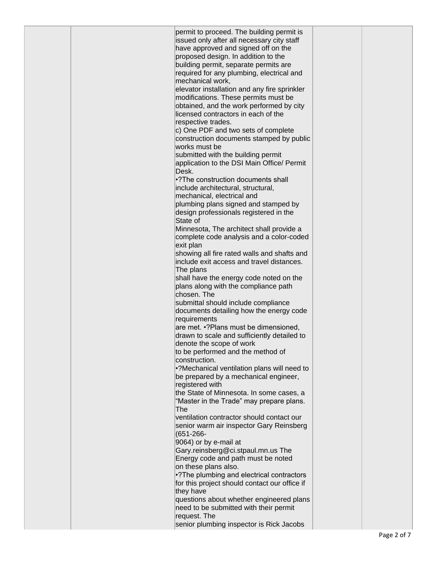| permit to proceed. The building permit is<br>issued only after all necessary city staff<br>have approved and signed off on the |             |
|--------------------------------------------------------------------------------------------------------------------------------|-------------|
| proposed design. In addition to the                                                                                            |             |
| building permit, separate permits are                                                                                          |             |
| required for any plumbing, electrical and<br>mechanical work,                                                                  |             |
| elevator installation and any fire sprinkler                                                                                   |             |
| modifications. These permits must be                                                                                           |             |
| obtained, and the work performed by city                                                                                       |             |
| licensed contractors in each of the                                                                                            |             |
| respective trades.<br>c) One PDF and two sets of complete                                                                      |             |
| construction documents stamped by public                                                                                       |             |
| works must be                                                                                                                  |             |
| submitted with the building permit                                                                                             |             |
| application to the DSI Main Office/ Permit<br>Desk.                                                                            |             |
| •? The construction documents shall                                                                                            |             |
| include architectural, structural,                                                                                             |             |
| mechanical, electrical and                                                                                                     |             |
| plumbing plans signed and stamped by<br>design professionals registered in the                                                 |             |
| State of                                                                                                                       |             |
| Minnesota, The architect shall provide a                                                                                       |             |
| complete code analysis and a color-coded                                                                                       |             |
| exit plan<br>showing all fire rated walls and shafts and                                                                       |             |
| include exit access and travel distances.                                                                                      |             |
| The plans                                                                                                                      |             |
| shall have the energy code noted on the                                                                                        |             |
| plans along with the compliance path<br>chosen. The                                                                            |             |
| submittal should include compliance                                                                                            |             |
| documents detailing how the energy code                                                                                        |             |
| requirements                                                                                                                   |             |
| are met. •? Plans must be dimensioned,<br>drawn to scale and sufficiently detailed to                                          |             |
| denote the scope of work                                                                                                       |             |
| to be performed and the method of                                                                                              |             |
| construction.                                                                                                                  |             |
| •?Mechanical ventilation plans will need to<br>be prepared by a mechanical engineer,                                           |             |
| registered with                                                                                                                |             |
| the State of Minnesota. In some cases, a                                                                                       |             |
| "Master in the Trade" may prepare plans.<br>The                                                                                |             |
| ventilation contractor should contact our                                                                                      |             |
| senior warm air inspector Gary Reinsberg                                                                                       |             |
| $(651 - 266 -$                                                                                                                 |             |
| 9064) or by e-mail at                                                                                                          |             |
| Gary.reinsberg@ci.stpaul.mn.us The<br>Energy code and path must be noted                                                       |             |
| on these plans also.                                                                                                           |             |
| •? The plumbing and electrical contractors                                                                                     |             |
| for this project should contact our office if                                                                                  |             |
| they have<br>questions about whether engineered plans                                                                          |             |
| need to be submitted with their permit                                                                                         |             |
| request. The                                                                                                                   |             |
| senior plumbing inspector is Rick Jacobs                                                                                       |             |
|                                                                                                                                | Page 2 of 7 |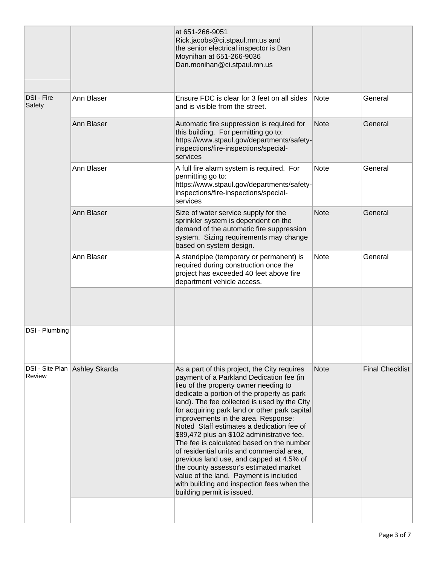|                      |                               | at 651-266-9051<br>Rick.jacobs@ci.stpaul.mn.us and<br>the senior electrical inspector is Dan<br>Moynihan at 651-266-9036<br>Dan.monihan@ci.stpaul.mn.us                                                                                                                                                                                                                                                                                                                                                                                                                                                                                                                                                                  |             |                        |
|----------------------|-------------------------------|--------------------------------------------------------------------------------------------------------------------------------------------------------------------------------------------------------------------------------------------------------------------------------------------------------------------------------------------------------------------------------------------------------------------------------------------------------------------------------------------------------------------------------------------------------------------------------------------------------------------------------------------------------------------------------------------------------------------------|-------------|------------------------|
| DSI - Fire<br>Safety | Ann Blaser                    | Ensure FDC is clear for 3 feet on all sides<br>and is visible from the street.                                                                                                                                                                                                                                                                                                                                                                                                                                                                                                                                                                                                                                           | <b>Note</b> | General                |
|                      | Ann Blaser                    | Automatic fire suppression is required for<br>this building. For permitting go to:<br>https://www.stpaul.gov/departments/safety-<br>inspections/fire-inspections/special-<br>services                                                                                                                                                                                                                                                                                                                                                                                                                                                                                                                                    | Note        | General                |
|                      | Ann Blaser                    | A full fire alarm system is required. For<br>permitting go to:<br>https://www.stpaul.gov/departments/safety-<br>inspections/fire-inspections/special-<br>services                                                                                                                                                                                                                                                                                                                                                                                                                                                                                                                                                        | <b>Note</b> | General                |
|                      | Ann Blaser                    | Size of water service supply for the<br>sprinkler system is dependent on the<br>demand of the automatic fire suppression<br>system. Sizing requirements may change<br>based on system design.                                                                                                                                                                                                                                                                                                                                                                                                                                                                                                                            | Note        | General                |
|                      | Ann Blaser                    | A standpipe (temporary or permanent) is<br>required during construction once the<br>project has exceeded 40 feet above fire<br>department vehicle access.                                                                                                                                                                                                                                                                                                                                                                                                                                                                                                                                                                | <b>Note</b> | General                |
|                      |                               |                                                                                                                                                                                                                                                                                                                                                                                                                                                                                                                                                                                                                                                                                                                          |             |                        |
| DSI - Plumbing       |                               |                                                                                                                                                                                                                                                                                                                                                                                                                                                                                                                                                                                                                                                                                                                          |             |                        |
| Review               | DSI - Site Plan Ashley Skarda | As a part of this project, the City requires<br>payment of a Parkland Dedication fee (in<br>lieu of the property owner needing to<br>dedicate a portion of the property as park<br>land). The fee collected is used by the City<br>for acquiring park land or other park capital<br>improvements in the area. Response:<br>Noted Staff estimates a dedication fee of<br>\$89,472 plus an \$102 administrative fee.<br>The fee is calculated based on the number<br>of residential units and commercial area,<br>previous land use, and capped at 4.5% of<br>the county assessor's estimated market<br>value of the land. Payment is included<br>with building and inspection fees when the<br>building permit is issued. | <b>Note</b> | <b>Final Checklist</b> |
|                      |                               |                                                                                                                                                                                                                                                                                                                                                                                                                                                                                                                                                                                                                                                                                                                          |             |                        |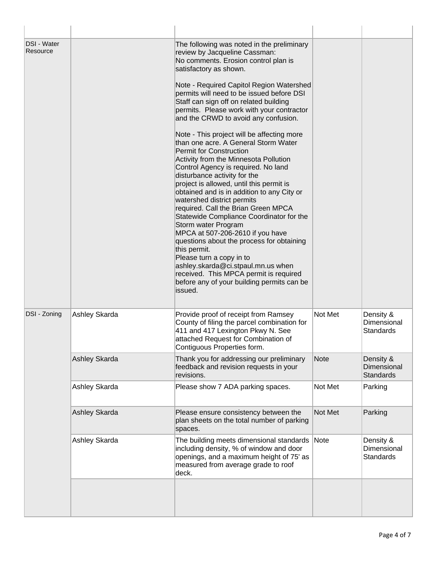| <b>DSI - Water</b><br>Resource |               | The following was noted in the preliminary<br>review by Jacqueline Cassman:<br>No comments. Erosion control plan is<br>satisfactory as shown.<br>Note - Required Capitol Region Watershed<br>permits will need to be issued before DSI<br>Staff can sign off on related building<br>permits. Please work with your contractor<br>and the CRWD to avoid any confusion.<br>Note - This project will be affecting more<br>than one acre. A General Storm Water<br>Permit for Construction<br>Activity from the Minnesota Pollution<br>Control Agency is required. No land<br>disturbance activity for the<br>project is allowed, until this permit is<br>obtained and is in addition to any City or<br>watershed district permits<br>required. Call the Brian Green MPCA<br>Statewide Compliance Coordinator for the<br>Storm water Program<br>MPCA at 507-206-2610 if you have<br>questions about the process for obtaining<br>this permit.<br>Please turn a copy in to<br>ashley.skarda@ci.stpaul.mn.us when<br>received. This MPCA permit is required<br>before any of your building permits can be<br>issued. |             |                                              |
|--------------------------------|---------------|----------------------------------------------------------------------------------------------------------------------------------------------------------------------------------------------------------------------------------------------------------------------------------------------------------------------------------------------------------------------------------------------------------------------------------------------------------------------------------------------------------------------------------------------------------------------------------------------------------------------------------------------------------------------------------------------------------------------------------------------------------------------------------------------------------------------------------------------------------------------------------------------------------------------------------------------------------------------------------------------------------------------------------------------------------------------------------------------------------------|-------------|----------------------------------------------|
| DSI - Zoning                   | Ashley Skarda | Provide proof of receipt from Ramsey<br>County of filing the parcel combination for<br>411 and 417 Lexington Pkwy N. See<br>attached Request for Combination of<br>Contiguous Properties form.                                                                                                                                                                                                                                                                                                                                                                                                                                                                                                                                                                                                                                                                                                                                                                                                                                                                                                                 | Not Met     | Density &<br>Dimensional<br><b>Standards</b> |
|                                | Ashley Skarda | Thank you for addressing our preliminary<br>feedback and revision requests in your<br>revisions.                                                                                                                                                                                                                                                                                                                                                                                                                                                                                                                                                                                                                                                                                                                                                                                                                                                                                                                                                                                                               | <b>Note</b> | Density &<br>Dimensional<br><b>Standards</b> |
|                                | Ashley Skarda | Please show 7 ADA parking spaces.                                                                                                                                                                                                                                                                                                                                                                                                                                                                                                                                                                                                                                                                                                                                                                                                                                                                                                                                                                                                                                                                              | Not Met     | Parking                                      |
|                                | Ashley Skarda | Please ensure consistency between the<br>plan sheets on the total number of parking<br>spaces.                                                                                                                                                                                                                                                                                                                                                                                                                                                                                                                                                                                                                                                                                                                                                                                                                                                                                                                                                                                                                 | Not Met     | Parking                                      |
|                                | Ashley Skarda | The building meets dimensional standards<br>including density, % of window and door<br>openings, and a maximum height of 75' as<br>measured from average grade to roof<br>deck.                                                                                                                                                                                                                                                                                                                                                                                                                                                                                                                                                                                                                                                                                                                                                                                                                                                                                                                                | <b>Note</b> | Density &<br>Dimensional<br><b>Standards</b> |
|                                |               |                                                                                                                                                                                                                                                                                                                                                                                                                                                                                                                                                                                                                                                                                                                                                                                                                                                                                                                                                                                                                                                                                                                |             |                                              |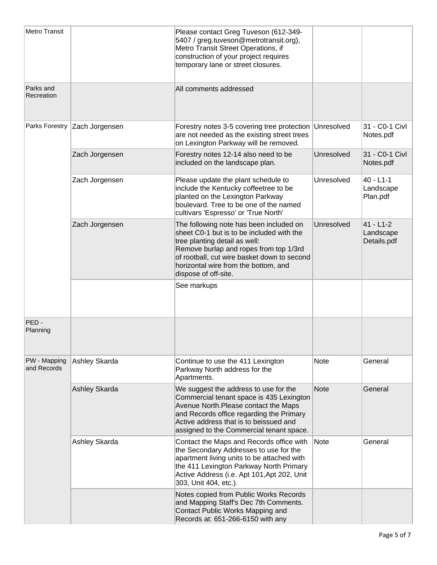| <b>Metro Transit</b>        |                | Please contact Greg Tuveson (612-349-<br>5407 / greg.tuveson@metrotransit.org),<br>Metro Transit Street Operations, if<br>construction of your project requires<br>temporary lane or street closures.                                                                          |             |                                           |
|-----------------------------|----------------|--------------------------------------------------------------------------------------------------------------------------------------------------------------------------------------------------------------------------------------------------------------------------------|-------------|-------------------------------------------|
| Parks and<br>Recreation     |                | All comments addressed                                                                                                                                                                                                                                                         |             |                                           |
| Parks Forestry              | Zach Jorgensen | Forestry notes 3-5 covering tree protection Unresolved<br>are not needed as the existing street trees<br>on Lexington Parkway will be removed.                                                                                                                                 |             | 31 - C0-1 Civl<br>Notes.pdf               |
|                             | Zach Jorgensen | Forestry notes 12-14 also need to be<br>included on the landscape plan.                                                                                                                                                                                                        | Unresolved  | 31 - C0-1 Civl<br>Notes.pdf               |
|                             | Zach Jorgensen | Please update the plant schedule to<br>include the Kentucky coffeetree to be<br>planted on the Lexington Parkway<br>boulevard. Tree to be one of the named<br>cultivars 'Espresso' or 'True North'                                                                             | Unresolved  | $40 - L1 - 1$<br>Landscape<br>Plan.pdf    |
|                             | Zach Jorgensen | The following note has been included on<br>sheet C0-1 but is to be included with the<br>tree planting detail as well:<br>Remove burlap and ropes from top 1/3rd<br>of rootball, cut wire basket down to second<br>horizontal wire from the bottom, and<br>dispose of off-site. | Unresolved  | $41 - L1 - 2$<br>Landscape<br>Details.pdf |
|                             |                | See markups                                                                                                                                                                                                                                                                    |             |                                           |
| PED-<br>Planning            |                |                                                                                                                                                                                                                                                                                |             |                                           |
| PW - Mapping<br>and Records | Ashley Skarda  | Continue to use the 411 Lexington<br>Parkway North address for the<br>Apartments.                                                                                                                                                                                              | <b>Note</b> | General                                   |
|                             | Ashley Skarda  | We suggest the address to use for the<br>Commercial tenant space is 435 Lexington<br>Avenue North. Please contact the Maps<br>and Records office regarding the Primary<br>Active address that is to beissued and<br>assigned to the Commercial tenant space.                   | <b>Note</b> | General                                   |
|                             | Ashley Skarda  | Contact the Maps and Records office with<br>the Secondary Addresses to use for the<br>apartment living units to be attached with<br>the 411 Lexington Parkway North Primary<br>Active Address (i.e. Apt 101, Apt 202, Unit<br>303, Unit 404, etc.).                            | <b>Note</b> | General                                   |
|                             |                | Notes copied from Public Works Records<br>and Mapping Staff's Dec 7th Comments.<br>Contact Public Works Mapping and<br>Records at: 651-266-6150 with any                                                                                                                       |             |                                           |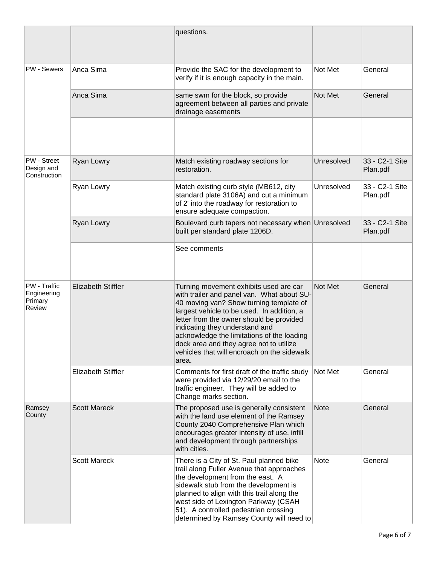|                                                  |                           | questions.                                                                                                                                                                                                                                                                                                                                                                                                   |             |                            |
|--------------------------------------------------|---------------------------|--------------------------------------------------------------------------------------------------------------------------------------------------------------------------------------------------------------------------------------------------------------------------------------------------------------------------------------------------------------------------------------------------------------|-------------|----------------------------|
| <b>PW - Sewers</b>                               | Anca Sima                 | Provide the SAC for the development to<br>verify if it is enough capacity in the main.                                                                                                                                                                                                                                                                                                                       | Not Met     | General                    |
|                                                  | Anca Sima                 | same swm for the block, so provide<br>agreement between all parties and private<br>drainage easements                                                                                                                                                                                                                                                                                                        | Not Met     | General                    |
|                                                  |                           |                                                                                                                                                                                                                                                                                                                                                                                                              |             |                            |
| PW - Street<br>Design and<br>Construction        | Ryan Lowry                | Match existing roadway sections for<br>restoration.                                                                                                                                                                                                                                                                                                                                                          | Unresolved  | 33 - C2-1 Site<br>Plan.pdf |
|                                                  | Ryan Lowry                | Match existing curb style (MB612, city<br>standard plate 3106A) and cut a minimum<br>of 2' into the roadway for restoration to<br>ensure adequate compaction.                                                                                                                                                                                                                                                | Unresolved  | 33 - C2-1 Site<br>Plan.pdf |
|                                                  | Ryan Lowry                | Boulevard curb tapers not necessary when Unresolved<br>built per standard plate 1206D.                                                                                                                                                                                                                                                                                                                       |             | 33 - C2-1 Site<br>Plan.pdf |
|                                                  |                           | See comments                                                                                                                                                                                                                                                                                                                                                                                                 |             |                            |
| PW - Traffic<br>Engineering<br>Primary<br>Review | <b>Elizabeth Stiffler</b> | Turning movement exhibits used are car<br>with trailer and panel van. What about SU-<br>40 moving van? Show turning template of<br>largest vehicle to be used. In addition, a<br>letter from the owner should be provided<br>indicating they understand and<br>acknowledge the limitations of the loading<br>dock area and they agree not to utilize<br>vehicles that will encroach on the sidewalk<br>area. | Not Met     | General                    |
|                                                  | <b>Elizabeth Stiffler</b> | Comments for first draft of the traffic study<br>were provided via 12/29/20 email to the<br>traffic engineer. They will be added to<br>Change marks section.                                                                                                                                                                                                                                                 | Not Met     | General                    |
| Ramsey<br>County                                 | <b>Scott Mareck</b>       | The proposed use is generally consistent<br>with the land use element of the Ramsey<br>County 2040 Comprehensive Plan which<br>encourages greater intensity of use, infill<br>and development through partnerships<br>with cities.                                                                                                                                                                           | <b>Note</b> | General                    |
|                                                  | <b>Scott Mareck</b>       | There is a City of St. Paul planned bike<br>trail along Fuller Avenue that approaches<br>the development from the east. A<br>sidewalk stub from the development is<br>planned to align with this trail along the<br>west side of Lexington Parkway (CSAH<br>51). A controlled pedestrian crossing<br>determined by Ramsey County will need to                                                                | <b>Note</b> | General                    |